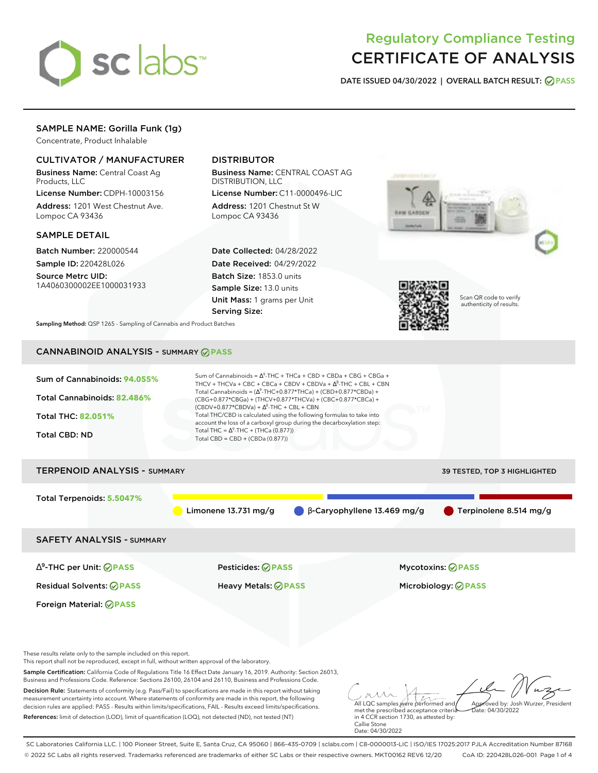

# Regulatory Compliance Testing CERTIFICATE OF ANALYSIS

**DATE ISSUED 04/30/2022 | OVERALL BATCH RESULT: PASS**

# SAMPLE NAME: Gorilla Funk (1g)

Concentrate, Product Inhalable

### CULTIVATOR / MANUFACTURER

Business Name: Central Coast Ag Products, LLC

License Number: CDPH-10003156 Address: 1201 West Chestnut Ave. Lompoc CA 93436

### SAMPLE DETAIL

Batch Number: 220000544 Sample ID: 220428L026

Source Metrc UID: 1A4060300002EE1000031933

# DISTRIBUTOR

Business Name: CENTRAL COAST AG DISTRIBUTION, LLC

License Number: C11-0000496-LIC Address: 1201 Chestnut St W Lompoc CA 93436

Date Collected: 04/28/2022 Date Received: 04/29/2022 Batch Size: 1853.0 units Sample Size: 13.0 units Unit Mass: 1 grams per Unit Serving Size:





Scan QR code to verify authenticity of results.

**Sampling Method:** QSP 1265 - Sampling of Cannabis and Product Batches

# CANNABINOID ANALYSIS - SUMMARY **PASS**



These results relate only to the sample included on this report.

This report shall not be reproduced, except in full, without written approval of the laboratory.

Sample Certification: California Code of Regulations Title 16 Effect Date January 16, 2019. Authority: Section 26013, Business and Professions Code. Reference: Sections 26100, 26104 and 26110, Business and Professions Code.

Decision Rule: Statements of conformity (e.g. Pass/Fail) to specifications are made in this report without taking measurement uncertainty into account. Where statements of conformity are made in this report, the following decision rules are applied: PASS - Results within limits/specifications, FAIL - Results exceed limits/specifications. References: limit of detection (LOD), limit of quantification (LOQ), not detected (ND), not tested (NT)

All LQC samples were performed and met the prescribed acceptance criteria Approved by: Josh Wurzer, President  $ate: 04/30/2022$ 

in 4 CCR section 1730, as attested by: Callie Stone Date: 04/30/2022

SC Laboratories California LLC. | 100 Pioneer Street, Suite E, Santa Cruz, CA 95060 | 866-435-0709 | sclabs.com | C8-0000013-LIC | ISO/IES 17025:2017 PJLA Accreditation Number 87168 © 2022 SC Labs all rights reserved. Trademarks referenced are trademarks of either SC Labs or their respective owners. MKT00162 REV6 12/20 CoA ID: 220428L026-001 Page 1 of 4